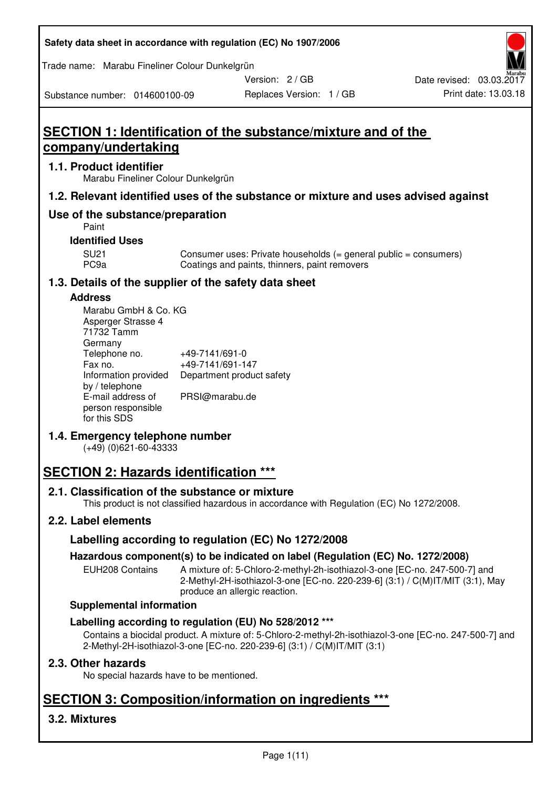#### **Safety data sheet in accordance with regulation (EC) No 1907/2006**

Trade name: Marabu Fineliner Colour Dunkelgrün

Version: 2 / GB

Replaces Version: 1 / GB Print date: 13.03.18 Date revised: 03.03.2017

Substance number: 014600100-09

# **SECTION 1: Identification of the substance/mixture and of the company/undertaking**

## **1.1. Product identifier**

Marabu Fineliner Colour Dunkelgrün

## **1.2. Relevant identified uses of the substance or mixture and uses advised against**

## **Use of the substance/preparation**

Paint

## **Identified Uses**

SU21 Consumer uses: Private households (= general public = consumers)<br>PC9a Coatings and paints, thinners, paint removers Coatings and paints, thinners, paint removers

## **1.3. Details of the supplier of the safety data sheet**

## **Address**

| Marabu GmbH & Co. KG |                           |
|----------------------|---------------------------|
| Asperger Strasse 4   |                           |
| 71732 Tamm           |                           |
| Germany              |                           |
| Telephone no.        | +49-7141/691-0            |
| Fax no.              | +49-7141/691-147          |
| Information provided | Department product safety |
| by / telephone       |                           |
| E-mail address of    | PRSI@marabu.de            |
| person responsible   |                           |
| for this SDS         |                           |

## **1.4. Emergency telephone number**

(+49) (0)621-60-43333

# **SECTION 2: Hazards identification \*\*\***

## **2.1. Classification of the substance or mixture**

This product is not classified hazardous in accordance with Regulation (EC) No 1272/2008.

## **2.2. Label elements**

## **Labelling according to regulation (EC) No 1272/2008**

## **Hazardous component(s) to be indicated on label (Regulation (EC) No. 1272/2008)**

EUH208 Contains A mixture of: 5-Chloro-2-methyl-2h-isothiazol-3-one [EC-no. 247-500-7] and 2-Methyl-2H-isothiazol-3-one [EC-no. 220-239-6] (3:1) / C(M)IT/MIT (3:1), May produce an allergic reaction.

#### **Supplemental information**

## **Labelling according to regulation (EU) No 528/2012 \*\*\***

Contains a biocidal product. A mixture of: 5-Chloro-2-methyl-2h-isothiazol-3-one [EC-no. 247-500-7] and 2-Methyl-2H-isothiazol-3-one [EC-no. 220-239-6] (3:1) / C(M)IT/MIT (3:1)

## **2.3. Other hazards**

No special hazards have to be mentioned.

# **SECTION 3: Composition/information on ingredients \*\*\***

## **3.2. Mixtures**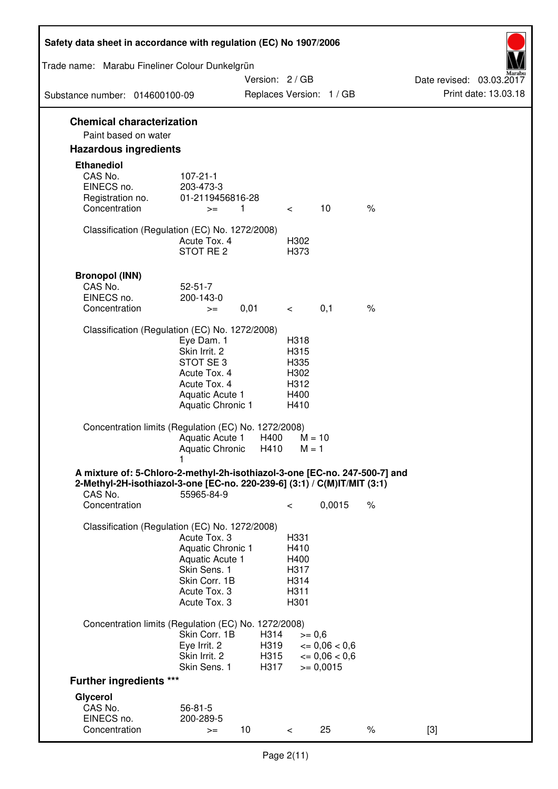| Safety data sheet in accordance with regulation (EC) No 1907/2006                                                                                                 |                                                                                                                       |                              |                                                      |                                                             |      |                                                  |
|-------------------------------------------------------------------------------------------------------------------------------------------------------------------|-----------------------------------------------------------------------------------------------------------------------|------------------------------|------------------------------------------------------|-------------------------------------------------------------|------|--------------------------------------------------|
| Trade name: Marabu Fineliner Colour Dunkelgrün                                                                                                                    |                                                                                                                       |                              |                                                      |                                                             |      |                                                  |
| Substance number: 014600100-09                                                                                                                                    |                                                                                                                       | Version: 2/GB                |                                                      | Replaces Version: 1 / GB                                    |      | Date revised: 03.03.2017<br>Print date: 13.03.18 |
| <b>Chemical characterization</b>                                                                                                                                  |                                                                                                                       |                              |                                                      |                                                             |      |                                                  |
| Paint based on water                                                                                                                                              |                                                                                                                       |                              |                                                      |                                                             |      |                                                  |
| <b>Hazardous ingredients</b>                                                                                                                                      |                                                                                                                       |                              |                                                      |                                                             |      |                                                  |
| <b>Ethanediol</b><br>CAS No.<br>EINECS no.<br>Registration no.                                                                                                    | $107 - 21 - 1$<br>203-473-3<br>01-2119456816-28                                                                       |                              |                                                      |                                                             |      |                                                  |
| Concentration                                                                                                                                                     | $>=$                                                                                                                  | $\overline{1}$               | $\lt$                                                | 10                                                          | $\%$ |                                                  |
| Classification (Regulation (EC) No. 1272/2008)                                                                                                                    | Acute Tox, 4<br>STOT RE <sub>2</sub>                                                                                  |                              | H302<br>H373                                         |                                                             |      |                                                  |
| <b>Bronopol (INN)</b>                                                                                                                                             |                                                                                                                       |                              |                                                      |                                                             |      |                                                  |
| CAS No.                                                                                                                                                           | $52 - 51 - 7$                                                                                                         |                              |                                                      |                                                             |      |                                                  |
| EINECS no.<br>Concentration                                                                                                                                       | 200-143-0                                                                                                             | 0,01                         |                                                      | 0,1                                                         | $\%$ |                                                  |
|                                                                                                                                                                   | $>=$                                                                                                                  |                              | $\overline{\phantom{0}}$                             |                                                             |      |                                                  |
| Classification (Regulation (EC) No. 1272/2008)                                                                                                                    | Eye Dam. 1<br>Skin Irrit. 2<br>STOT SE3<br>Acute Tox. 4<br>Acute Tox. 4<br>Aquatic Acute 1<br>Aquatic Chronic 1       |                              | H318<br>H315<br>H335<br>H302<br>H312<br>H400<br>H410 |                                                             |      |                                                  |
| Concentration limits (Regulation (EC) No. 1272/2008)                                                                                                              | Aquatic Acute 1<br>Aquatic Chronic                                                                                    | H400<br>H410                 | $M = 10$<br>$M = 1$                                  |                                                             |      |                                                  |
| A mixture of: 5-Chloro-2-methyl-2h-isothiazol-3-one [EC-no. 247-500-7] and<br>2-Methyl-2H-isothiazol-3-one [EC-no. 220-239-6] (3:1) / C(M)IT/MIT (3:1)<br>CAS No. | 55965-84-9                                                                                                            |                              |                                                      |                                                             |      |                                                  |
| Concentration                                                                                                                                                     |                                                                                                                       |                              | $\,<\,$                                              | 0,0015                                                      | $\%$ |                                                  |
| Classification (Regulation (EC) No. 1272/2008)                                                                                                                    | Acute Tox. 3<br>Aquatic Chronic 1<br>Aquatic Acute 1<br>Skin Sens. 1<br>Skin Corr. 1B<br>Acute Tox. 3<br>Acute Tox. 3 |                              | H331<br>H410<br>H400<br>H317<br>H314<br>H311<br>H301 |                                                             |      |                                                  |
| Concentration limits (Regulation (EC) No. 1272/2008)                                                                                                              |                                                                                                                       |                              |                                                      |                                                             |      |                                                  |
|                                                                                                                                                                   | Skin Corr. 1B<br>Eye Irrit. 2<br>Skin Irrit. 2<br>Skin Sens. 1                                                        | H314<br>H319<br>H315<br>H317 | $>= 0,6$                                             | $\epsilon = 0.06 < 0.6$<br>$\leq 0.06 < 0.6$<br>$>= 0,0015$ |      |                                                  |
| <b>Further ingredients ***</b>                                                                                                                                    |                                                                                                                       |                              |                                                      |                                                             |      |                                                  |
| Glycerol<br>CAS No.<br>EINECS no.                                                                                                                                 | $56 - 81 - 5$<br>200-289-5                                                                                            |                              |                                                      |                                                             |      |                                                  |
| Concentration                                                                                                                                                     | $>=$                                                                                                                  | 10                           | $\lt$                                                | 25                                                          | $\%$ | $[3]$                                            |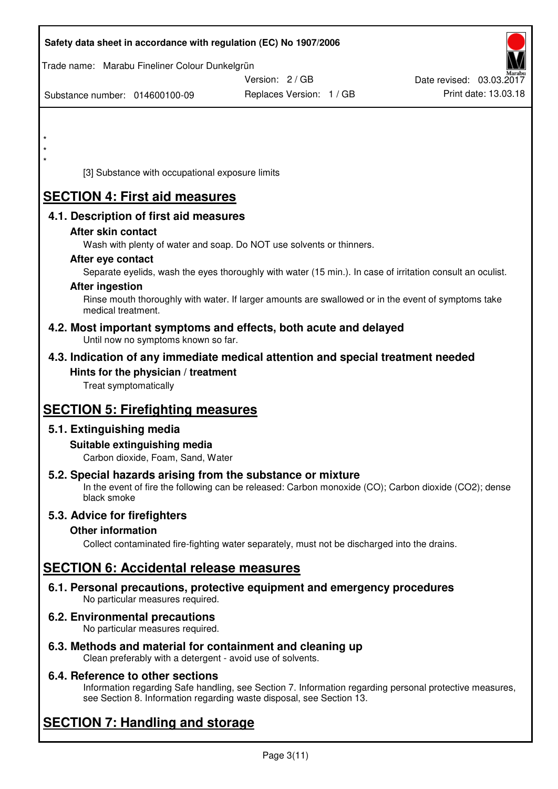|          |                              |                                                                           | Safety data sheet in accordance with regulation (EC) No 1907/2006                                                                                                   |                          |
|----------|------------------------------|---------------------------------------------------------------------------|---------------------------------------------------------------------------------------------------------------------------------------------------------------------|--------------------------|
|          |                              | Trade name: Marabu Fineliner Colour Dunkelgrün                            |                                                                                                                                                                     |                          |
|          |                              |                                                                           | Version: 2 / GB                                                                                                                                                     | Date revised: 03.03.2017 |
|          |                              | Substance number: 014600100-09                                            | Replaces Version: 1 / GB                                                                                                                                            | Print date: 13.03.18     |
|          |                              |                                                                           |                                                                                                                                                                     |                          |
| $^\star$ |                              |                                                                           |                                                                                                                                                                     |                          |
|          |                              |                                                                           |                                                                                                                                                                     |                          |
| $\star$  |                              | [3] Substance with occupational exposure limits                           |                                                                                                                                                                     |                          |
|          |                              | <b>SECTION 4: First aid measures</b>                                      |                                                                                                                                                                     |                          |
|          |                              | 4.1. Description of first aid measures                                    |                                                                                                                                                                     |                          |
|          | After skin contact           |                                                                           |                                                                                                                                                                     |                          |
|          |                              |                                                                           | Wash with plenty of water and soap. Do NOT use solvents or thinners.                                                                                                |                          |
|          | After eye contact            |                                                                           |                                                                                                                                                                     |                          |
|          |                              |                                                                           | Separate eyelids, wash the eyes thoroughly with water (15 min.). In case of irritation consult an oculist.                                                          |                          |
|          | <b>After ingestion</b>       |                                                                           | Rinse mouth thoroughly with water. If larger amounts are swallowed or in the event of symptoms take                                                                 |                          |
|          | medical treatment.           |                                                                           |                                                                                                                                                                     |                          |
|          |                              | Until now no symptoms known so far.                                       | 4.2. Most important symptoms and effects, both acute and delayed                                                                                                    |                          |
|          |                              |                                                                           | 4.3. Indication of any immediate medical attention and special treatment needed                                                                                     |                          |
|          |                              | Hints for the physician / treatment                                       |                                                                                                                                                                     |                          |
|          | Treat symptomatically        |                                                                           |                                                                                                                                                                     |                          |
|          |                              | <b>SECTION 5: Firefighting measures</b>                                   |                                                                                                                                                                     |                          |
|          | 5.1. Extinguishing media     |                                                                           |                                                                                                                                                                     |                          |
|          |                              | Suitable extinguishing media                                              |                                                                                                                                                                     |                          |
|          |                              | Carbon dioxide, Foam, Sand, Water                                         |                                                                                                                                                                     |                          |
|          | black smoke                  |                                                                           | 5.2. Special hazards arising from the substance or mixture<br>In the event of fire the following can be released: Carbon monoxide (CO); Carbon dioxide (CO2); dense |                          |
|          | 5.3. Advice for firefighters |                                                                           |                                                                                                                                                                     |                          |
|          | <b>Other information</b>     |                                                                           |                                                                                                                                                                     |                          |
|          |                              |                                                                           | Collect contaminated fire-fighting water separately, must not be discharged into the drains.                                                                        |                          |
|          |                              | <b>SECTION 6: Accidental release measures</b>                             |                                                                                                                                                                     |                          |
|          |                              | No particular measures required.                                          | 6.1. Personal precautions, protective equipment and emergency procedures                                                                                            |                          |
|          |                              | <b>6.2. Environmental precautions</b><br>No particular measures required. |                                                                                                                                                                     |                          |
|          |                              |                                                                           | 6.3. Methods and material for containment and cleaning up<br>se professor different property and the contract of police at                                          |                          |

Clean preferably with a detergent - avoid use of solvents.

## **6.4. Reference to other sections**

Information regarding Safe handling, see Section 7. Information regarding personal protective measures, see Section 8. Information regarding waste disposal, see Section 13.

# **SECTION 7: Handling and storage**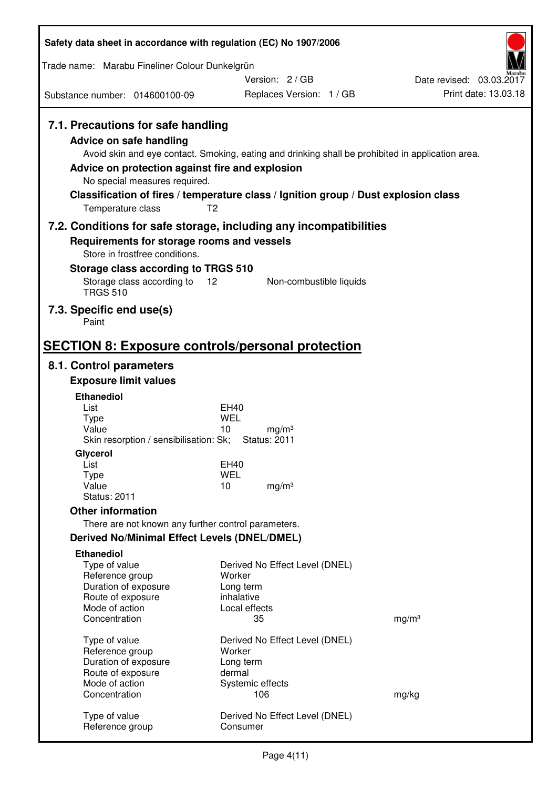| Safety data sheet in accordance with regulation (EC) No 1907/2006                                                                                                      |                                                                                                                                                                                                            |                                                  |
|------------------------------------------------------------------------------------------------------------------------------------------------------------------------|------------------------------------------------------------------------------------------------------------------------------------------------------------------------------------------------------------|--------------------------------------------------|
| Trade name: Marabu Fineliner Colour Dunkelgrün                                                                                                                         |                                                                                                                                                                                                            |                                                  |
|                                                                                                                                                                        | Version: 2/GB                                                                                                                                                                                              | Date revised: 03.03.2017<br>Print date: 13.03.18 |
| Substance number: 014600100-09                                                                                                                                         | Replaces Version: 1 / GB                                                                                                                                                                                   |                                                  |
| 7.1. Precautions for safe handling<br>Advice on safe handling<br>Advice on protection against fire and explosion<br>No special measures required.<br>Temperature class | Avoid skin and eye contact. Smoking, eating and drinking shall be prohibited in application area.<br>Classification of fires / temperature class / Ignition group / Dust explosion class<br>T <sub>2</sub> |                                                  |
|                                                                                                                                                                        | 7.2. Conditions for safe storage, including any incompatibilities                                                                                                                                          |                                                  |
| Requirements for storage rooms and vessels                                                                                                                             |                                                                                                                                                                                                            |                                                  |
| Store in frostfree conditions.<br>Storage class according to TRGS 510                                                                                                  |                                                                                                                                                                                                            |                                                  |
| Storage class according to                                                                                                                                             | 12<br>Non-combustible liquids                                                                                                                                                                              |                                                  |
| <b>TRGS 510</b>                                                                                                                                                        |                                                                                                                                                                                                            |                                                  |
| 7.3. Specific end use(s)<br>Paint                                                                                                                                      |                                                                                                                                                                                                            |                                                  |
| <b>SECTION 8: Exposure controls/personal protection</b>                                                                                                                |                                                                                                                                                                                                            |                                                  |
| 8.1. Control parameters                                                                                                                                                |                                                                                                                                                                                                            |                                                  |
| <b>Exposure limit values</b>                                                                                                                                           |                                                                                                                                                                                                            |                                                  |
| <b>Ethanediol</b><br>List                                                                                                                                              | EH40                                                                                                                                                                                                       |                                                  |
| <b>Type</b>                                                                                                                                                            | <b>WEL</b>                                                                                                                                                                                                 |                                                  |
| Value<br>Skin resorption / sensibilisation: Sk;                                                                                                                        | 10<br>mg/m <sup>3</sup><br><b>Status: 2011</b>                                                                                                                                                             |                                                  |
| Glycerol                                                                                                                                                               |                                                                                                                                                                                                            |                                                  |
| List<br>Type                                                                                                                                                           | <b>EH40</b><br><b>WEL</b>                                                                                                                                                                                  |                                                  |
| Value                                                                                                                                                                  | 10<br>mg/m <sup>3</sup>                                                                                                                                                                                    |                                                  |
| <b>Status: 2011</b>                                                                                                                                                    |                                                                                                                                                                                                            |                                                  |
| <b>Other information</b>                                                                                                                                               |                                                                                                                                                                                                            |                                                  |
| There are not known any further control parameters.<br><b>Derived No/Minimal Effect Levels (DNEL/DMEL)</b>                                                             |                                                                                                                                                                                                            |                                                  |
| <b>Ethanediol</b>                                                                                                                                                      |                                                                                                                                                                                                            |                                                  |
| Type of value                                                                                                                                                          | Derived No Effect Level (DNEL)                                                                                                                                                                             |                                                  |
| Reference group                                                                                                                                                        | Worker                                                                                                                                                                                                     |                                                  |
| Duration of exposure<br>Route of exposure                                                                                                                              | Long term<br>inhalative                                                                                                                                                                                    |                                                  |
| Mode of action                                                                                                                                                         | Local effects                                                                                                                                                                                              |                                                  |
| Concentration                                                                                                                                                          | 35                                                                                                                                                                                                         | mg/m <sup>3</sup>                                |
| Type of value                                                                                                                                                          | Derived No Effect Level (DNEL)                                                                                                                                                                             |                                                  |
| Reference group<br>Duration of exposure                                                                                                                                | Worker<br>Long term                                                                                                                                                                                        |                                                  |
| Route of exposure                                                                                                                                                      | dermal                                                                                                                                                                                                     |                                                  |
| Mode of action                                                                                                                                                         | Systemic effects                                                                                                                                                                                           |                                                  |
| Concentration                                                                                                                                                          | 106                                                                                                                                                                                                        | mg/kg                                            |
| Type of value<br>Reference group                                                                                                                                       | Derived No Effect Level (DNEL)<br>Consumer                                                                                                                                                                 |                                                  |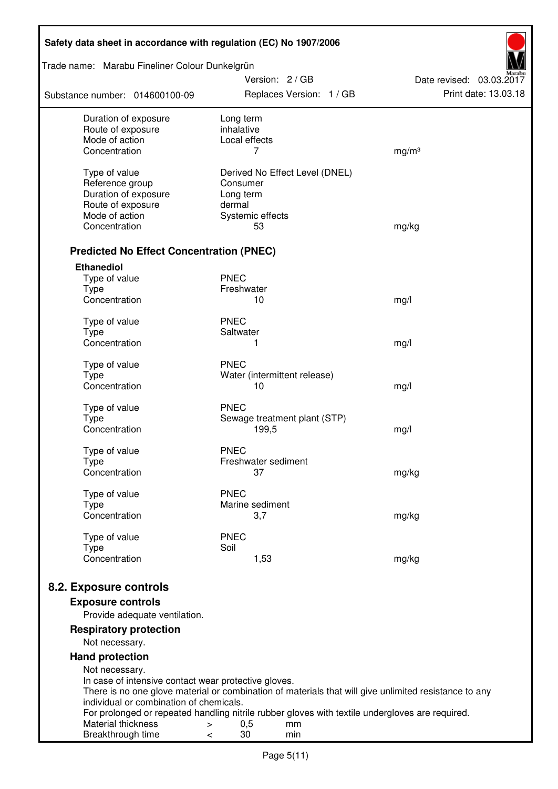| Safety data sheet in accordance with regulation (EC) No 1907/2006 |                                                                                                                   |                          |  |  |
|-------------------------------------------------------------------|-------------------------------------------------------------------------------------------------------------------|--------------------------|--|--|
| Trade name: Marabu Fineliner Colour Dunkelgrün                    | Version: 2 / GB                                                                                                   | Date revised: 03.03.2017 |  |  |
| Substance number: 014600100-09                                    | Replaces Version: 1 / GB                                                                                          | Print date: 13.03.18     |  |  |
| Duration of exposure<br>Route of exposure                         | Long term<br>inhalative                                                                                           |                          |  |  |
| Mode of action                                                    | Local effects                                                                                                     |                          |  |  |
| Concentration                                                     | 7                                                                                                                 | mg/m <sup>3</sup>        |  |  |
| Type of value                                                     | Derived No Effect Level (DNEL)                                                                                    |                          |  |  |
| Reference group                                                   | Consumer                                                                                                          |                          |  |  |
| Duration of exposure<br>Route of exposure                         | Long term<br>dermal                                                                                               |                          |  |  |
| Mode of action                                                    | Systemic effects                                                                                                  |                          |  |  |
| Concentration                                                     | 53                                                                                                                | mg/kg                    |  |  |
| <b>Predicted No Effect Concentration (PNEC)</b>                   |                                                                                                                   |                          |  |  |
| <b>Ethanediol</b>                                                 |                                                                                                                   |                          |  |  |
| Type of value                                                     | <b>PNEC</b>                                                                                                       |                          |  |  |
| <b>Type</b><br>Concentration                                      | Freshwater<br>10                                                                                                  | mg/l                     |  |  |
|                                                                   |                                                                                                                   |                          |  |  |
| Type of value<br><b>Type</b>                                      | <b>PNEC</b><br>Saltwater                                                                                          |                          |  |  |
| Concentration                                                     | 1                                                                                                                 | mg/l                     |  |  |
|                                                                   |                                                                                                                   |                          |  |  |
| Type of value<br><b>Type</b>                                      | <b>PNEC</b><br>Water (intermittent release)                                                                       |                          |  |  |
| Concentration                                                     | 10                                                                                                                | mg/l                     |  |  |
|                                                                   | <b>PNEC</b>                                                                                                       |                          |  |  |
| Type of value<br><b>Type</b>                                      | Sewage treatment plant (STP)                                                                                      |                          |  |  |
| Concentration                                                     | 199,5                                                                                                             | mg/l                     |  |  |
| Type of value                                                     | <b>PNEC</b>                                                                                                       |                          |  |  |
| Type                                                              | Freshwater sediment                                                                                               |                          |  |  |
| Concentration                                                     | 37                                                                                                                | mg/kg                    |  |  |
| Type of value                                                     | <b>PNEC</b>                                                                                                       |                          |  |  |
| <b>Type</b><br>Concentration                                      | Marine sediment                                                                                                   |                          |  |  |
|                                                                   | 3,7                                                                                                               | mg/kg                    |  |  |
| Type of value                                                     | <b>PNEC</b>                                                                                                       |                          |  |  |
| <b>Type</b><br>Concentration                                      | Soil<br>1,53                                                                                                      | mg/kg                    |  |  |
|                                                                   |                                                                                                                   |                          |  |  |
| 8.2. Exposure controls                                            |                                                                                                                   |                          |  |  |
| <b>Exposure controls</b><br>Provide adequate ventilation.         |                                                                                                                   |                          |  |  |
| <b>Respiratory protection</b>                                     |                                                                                                                   |                          |  |  |
| Not necessary.                                                    |                                                                                                                   |                          |  |  |
| <b>Hand protection</b>                                            |                                                                                                                   |                          |  |  |
| Not necessary.                                                    |                                                                                                                   |                          |  |  |
| In case of intensive contact wear protective gloves.              | There is no one glove material or combination of materials that will give unlimited resistance to any             |                          |  |  |
| individual or combination of chemicals.                           |                                                                                                                   |                          |  |  |
| Material thickness                                                | For prolonged or repeated handling nitrile rubber gloves with textile undergloves are required.<br>0,5<br>mm<br>> |                          |  |  |
| Breakthrough time                                                 | 30<br>min<br><                                                                                                    |                          |  |  |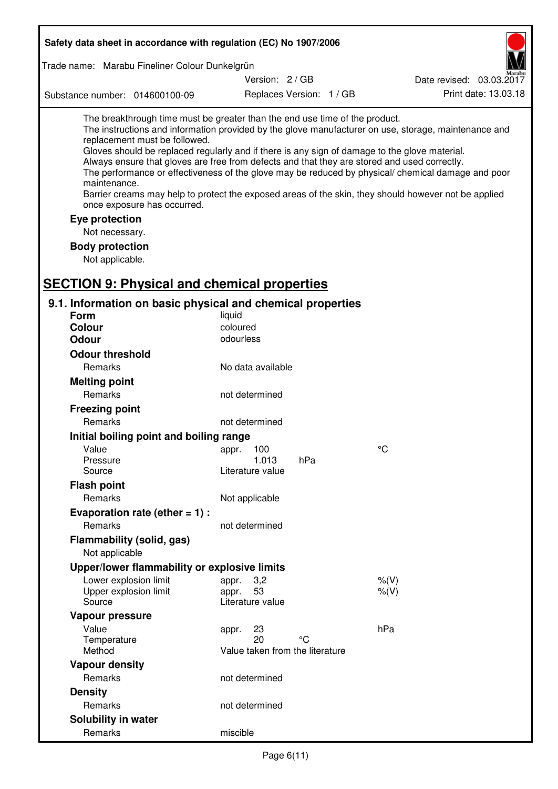| Safety data sheet in accordance with regulation (EC) No 1907/2006                                                                                                                                                                                                                                                                                            |                                       |                          |                                                                                                                                                                                                                                                                                                                    |
|--------------------------------------------------------------------------------------------------------------------------------------------------------------------------------------------------------------------------------------------------------------------------------------------------------------------------------------------------------------|---------------------------------------|--------------------------|--------------------------------------------------------------------------------------------------------------------------------------------------------------------------------------------------------------------------------------------------------------------------------------------------------------------|
| Trade name: Marabu Fineliner Colour Dunkelgrün                                                                                                                                                                                                                                                                                                               |                                       |                          |                                                                                                                                                                                                                                                                                                                    |
|                                                                                                                                                                                                                                                                                                                                                              | Version: 2/GB                         |                          | Date revised: 03.03.2017                                                                                                                                                                                                                                                                                           |
| Substance number: 014600100-09                                                                                                                                                                                                                                                                                                                               |                                       | Replaces Version: 1 / GB | Print date: 13.03.18                                                                                                                                                                                                                                                                                               |
| The breakthrough time must be greater than the end use time of the product.<br>replacement must be followed.<br>Gloves should be replaced regularly and if there is any sign of damage to the glove material.<br>Always ensure that gloves are free from defects and that they are stored and used correctly.<br>maintenance.<br>once exposure has occurred. |                                       |                          | The instructions and information provided by the glove manufacturer on use, storage, maintenance and<br>The performance or effectiveness of the glove may be reduced by physical/ chemical damage and poor<br>Barrier creams may help to protect the exposed areas of the skin, they should however not be applied |
| Eye protection                                                                                                                                                                                                                                                                                                                                               |                                       |                          |                                                                                                                                                                                                                                                                                                                    |
| Not necessary.                                                                                                                                                                                                                                                                                                                                               |                                       |                          |                                                                                                                                                                                                                                                                                                                    |
| <b>Body protection</b>                                                                                                                                                                                                                                                                                                                                       |                                       |                          |                                                                                                                                                                                                                                                                                                                    |
| Not applicable.                                                                                                                                                                                                                                                                                                                                              |                                       |                          |                                                                                                                                                                                                                                                                                                                    |
|                                                                                                                                                                                                                                                                                                                                                              |                                       |                          |                                                                                                                                                                                                                                                                                                                    |
| <b>SECTION 9: Physical and chemical properties</b>                                                                                                                                                                                                                                                                                                           |                                       |                          |                                                                                                                                                                                                                                                                                                                    |
| 9.1. Information on basic physical and chemical properties                                                                                                                                                                                                                                                                                                   |                                       |                          |                                                                                                                                                                                                                                                                                                                    |
| Form<br><b>Colour</b>                                                                                                                                                                                                                                                                                                                                        | liquid<br>coloured                    |                          |                                                                                                                                                                                                                                                                                                                    |
| <b>Odour</b>                                                                                                                                                                                                                                                                                                                                                 | odourless                             |                          |                                                                                                                                                                                                                                                                                                                    |
|                                                                                                                                                                                                                                                                                                                                                              |                                       |                          |                                                                                                                                                                                                                                                                                                                    |
| <b>Odour threshold</b>                                                                                                                                                                                                                                                                                                                                       |                                       |                          |                                                                                                                                                                                                                                                                                                                    |
| Remarks                                                                                                                                                                                                                                                                                                                                                      | No data available                     |                          |                                                                                                                                                                                                                                                                                                                    |
| <b>Melting point</b>                                                                                                                                                                                                                                                                                                                                         |                                       |                          |                                                                                                                                                                                                                                                                                                                    |
| Remarks                                                                                                                                                                                                                                                                                                                                                      | not determined                        |                          |                                                                                                                                                                                                                                                                                                                    |
| <b>Freezing point</b>                                                                                                                                                                                                                                                                                                                                        |                                       |                          |                                                                                                                                                                                                                                                                                                                    |
| Remarks                                                                                                                                                                                                                                                                                                                                                      | not determined                        |                          |                                                                                                                                                                                                                                                                                                                    |
| Initial boiling point and boiling range                                                                                                                                                                                                                                                                                                                      |                                       |                          |                                                                                                                                                                                                                                                                                                                    |
| Value                                                                                                                                                                                                                                                                                                                                                        | appr. 100                             |                          | $\rm ^{\circ}C$                                                                                                                                                                                                                                                                                                    |
| Pressure                                                                                                                                                                                                                                                                                                                                                     | 1.013                                 | hPa                      |                                                                                                                                                                                                                                                                                                                    |
| Source                                                                                                                                                                                                                                                                                                                                                       | Literature value                      |                          |                                                                                                                                                                                                                                                                                                                    |
| <b>Flash point</b>                                                                                                                                                                                                                                                                                                                                           |                                       |                          |                                                                                                                                                                                                                                                                                                                    |
| Remarks                                                                                                                                                                                                                                                                                                                                                      | Not applicable                        |                          |                                                                                                                                                                                                                                                                                                                    |
| Evaporation rate (ether $= 1$ ) :                                                                                                                                                                                                                                                                                                                            |                                       |                          |                                                                                                                                                                                                                                                                                                                    |
| Remarks                                                                                                                                                                                                                                                                                                                                                      | not determined                        |                          |                                                                                                                                                                                                                                                                                                                    |
| Flammability (solid, gas)                                                                                                                                                                                                                                                                                                                                    |                                       |                          |                                                                                                                                                                                                                                                                                                                    |
| Not applicable                                                                                                                                                                                                                                                                                                                                               |                                       |                          |                                                                                                                                                                                                                                                                                                                    |
| Upper/lower flammability or explosive limits                                                                                                                                                                                                                                                                                                                 |                                       |                          |                                                                                                                                                                                                                                                                                                                    |
| Lower explosion limit                                                                                                                                                                                                                                                                                                                                        | 3,2<br>appr.                          |                          | % (V)                                                                                                                                                                                                                                                                                                              |
| Upper explosion limit                                                                                                                                                                                                                                                                                                                                        | 53<br>appr.                           |                          | % (V)                                                                                                                                                                                                                                                                                                              |
| Source                                                                                                                                                                                                                                                                                                                                                       | Literature value                      |                          |                                                                                                                                                                                                                                                                                                                    |
| Vapour pressure                                                                                                                                                                                                                                                                                                                                              |                                       |                          |                                                                                                                                                                                                                                                                                                                    |
| Value                                                                                                                                                                                                                                                                                                                                                        | 23<br>appr.                           |                          | hPa                                                                                                                                                                                                                                                                                                                |
| Temperature<br>Method                                                                                                                                                                                                                                                                                                                                        | 20<br>Value taken from the literature | °۲                       |                                                                                                                                                                                                                                                                                                                    |
| <b>Vapour density</b>                                                                                                                                                                                                                                                                                                                                        |                                       |                          |                                                                                                                                                                                                                                                                                                                    |
| Remarks                                                                                                                                                                                                                                                                                                                                                      | not determined                        |                          |                                                                                                                                                                                                                                                                                                                    |
|                                                                                                                                                                                                                                                                                                                                                              |                                       |                          |                                                                                                                                                                                                                                                                                                                    |
| <b>Density</b>                                                                                                                                                                                                                                                                                                                                               |                                       |                          |                                                                                                                                                                                                                                                                                                                    |
| Remarks                                                                                                                                                                                                                                                                                                                                                      | not determined                        |                          |                                                                                                                                                                                                                                                                                                                    |
| Solubility in water                                                                                                                                                                                                                                                                                                                                          |                                       |                          |                                                                                                                                                                                                                                                                                                                    |
| Remarks                                                                                                                                                                                                                                                                                                                                                      | miscible                              |                          |                                                                                                                                                                                                                                                                                                                    |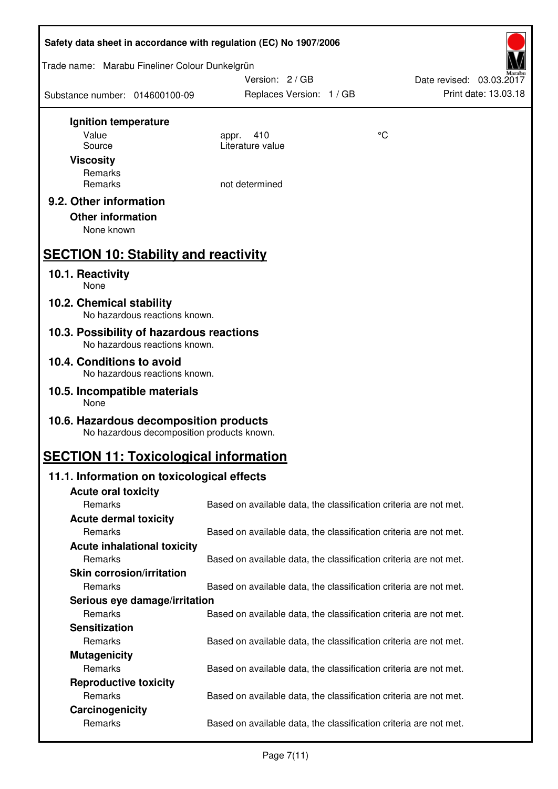| Safety data sheet in accordance with regulation (EC) No 1907/2006 |                                            |                                                                   |    |                          |
|-------------------------------------------------------------------|--------------------------------------------|-------------------------------------------------------------------|----|--------------------------|
| Trade name: Marabu Fineliner Colour Dunkelgrün                    |                                            | Version: 2/GB                                                     |    | Date revised: 03.03.2017 |
| Substance number: 014600100-09                                    |                                            | Replaces Version: 1 / GB                                          |    | Print date: 13.03.18     |
| Ignition temperature                                              |                                            |                                                                   |    |                          |
| Value                                                             |                                            | 410<br>appr.                                                      | °C |                          |
| Source                                                            |                                            | Literature value                                                  |    |                          |
| <b>Viscosity</b>                                                  |                                            |                                                                   |    |                          |
| Remarks                                                           |                                            |                                                                   |    |                          |
| Remarks                                                           |                                            | not determined                                                    |    |                          |
| 9.2. Other information                                            |                                            |                                                                   |    |                          |
| <b>Other information</b>                                          |                                            |                                                                   |    |                          |
| None known                                                        |                                            |                                                                   |    |                          |
| <b>SECTION 10: Stability and reactivity</b>                       |                                            |                                                                   |    |                          |
| 10.1. Reactivity<br>None                                          |                                            |                                                                   |    |                          |
| 10.2. Chemical stability                                          | No hazardous reactions known.              |                                                                   |    |                          |
| 10.3. Possibility of hazardous reactions                          | No hazardous reactions known.              |                                                                   |    |                          |
| 10.4. Conditions to avoid                                         |                                            |                                                                   |    |                          |
|                                                                   | No hazardous reactions known.              |                                                                   |    |                          |
| 10.5. Incompatible materials<br>None                              |                                            |                                                                   |    |                          |
| 10.6. Hazardous decomposition products                            | No hazardous decomposition products known. |                                                                   |    |                          |
| <b>SECTION 11: Toxicological information</b>                      |                                            |                                                                   |    |                          |
| 11.1. Information on toxicological effects                        |                                            |                                                                   |    |                          |
| <b>Acute oral toxicity</b>                                        |                                            |                                                                   |    |                          |
| Remarks                                                           |                                            | Based on available data, the classification criteria are not met. |    |                          |
| <b>Acute dermal toxicity</b>                                      |                                            |                                                                   |    |                          |
| Remarks                                                           |                                            | Based on available data, the classification criteria are not met. |    |                          |
| <b>Acute inhalational toxicity</b>                                |                                            |                                                                   |    |                          |
| Remarks                                                           |                                            | Based on available data, the classification criteria are not met. |    |                          |
| <b>Skin corrosion/irritation</b>                                  |                                            |                                                                   |    |                          |
| Remarks                                                           |                                            | Based on available data, the classification criteria are not met. |    |                          |
|                                                                   | Serious eye damage/irritation              |                                                                   |    |                          |
| Remarks                                                           |                                            | Based on available data, the classification criteria are not met. |    |                          |
| <b>Sensitization</b>                                              |                                            |                                                                   |    |                          |
| Remarks                                                           |                                            | Based on available data, the classification criteria are not met. |    |                          |
| <b>Mutagenicity</b>                                               |                                            |                                                                   |    |                          |
| Remarks                                                           |                                            | Based on available data, the classification criteria are not met. |    |                          |
| <b>Reproductive toxicity</b>                                      |                                            |                                                                   |    |                          |
| Remarks                                                           |                                            | Based on available data, the classification criteria are not met. |    |                          |
| Carcinogenicity                                                   |                                            |                                                                   |    |                          |
| Remarks                                                           |                                            | Based on available data, the classification criteria are not met. |    |                          |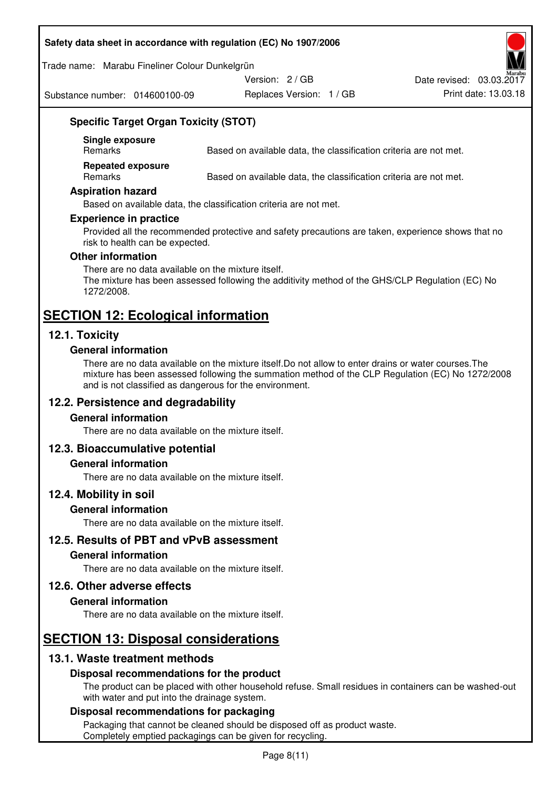#### **Safety data sheet in accordance with regulation (EC) No 1907/2006**

Trade name: Marabu Fineliner Colour Dunkelgrün

Substance number: 014600100-09

Replaces Version: 1 / GB Print date: 13.03.18 Date revised: 03.03.2017

Version: 2 / GB

**Specific Target Organ Toxicity (STOT)** 

**Single exposure** 

Based on available data, the classification criteria are not met.

**Repeated exposure** 

Remarks Based on available data, the classification criteria are not met.

#### **Aspiration hazard**

Based on available data, the classification criteria are not met.

#### **Experience in practice**

Provided all the recommended protective and safety precautions are taken, experience shows that no risk to health can be expected.

#### **Other information**

There are no data available on the mixture itself. The mixture has been assessed following the additivity method of the GHS/CLP Regulation (EC) No 1272/2008.

## **SECTION 12: Ecological information**

## **12.1. Toxicity**

#### **General information**

There are no data available on the mixture itself.Do not allow to enter drains or water courses.The mixture has been assessed following the summation method of the CLP Regulation (EC) No 1272/2008 and is not classified as dangerous for the environment.

## **12.2. Persistence and degradability**

#### **General information**

There are no data available on the mixture itself.

#### **12.3. Bioaccumulative potential**

#### **General information**

There are no data available on the mixture itself.

#### **12.4. Mobility in soil**

#### **General information**

There are no data available on the mixture itself.

**12.5. Results of PBT and vPvB assessment** 

#### **General information**

There are no data available on the mixture itself.

#### **12.6. Other adverse effects**

#### **General information**

There are no data available on the mixture itself.

# **SECTION 13: Disposal considerations**

## **13.1. Waste treatment methods**

#### **Disposal recommendations for the product**

The product can be placed with other household refuse. Small residues in containers can be washed-out with water and put into the drainage system.

#### **Disposal recommendations for packaging**

Packaging that cannot be cleaned should be disposed off as product waste. Completely emptied packagings can be given for recycling.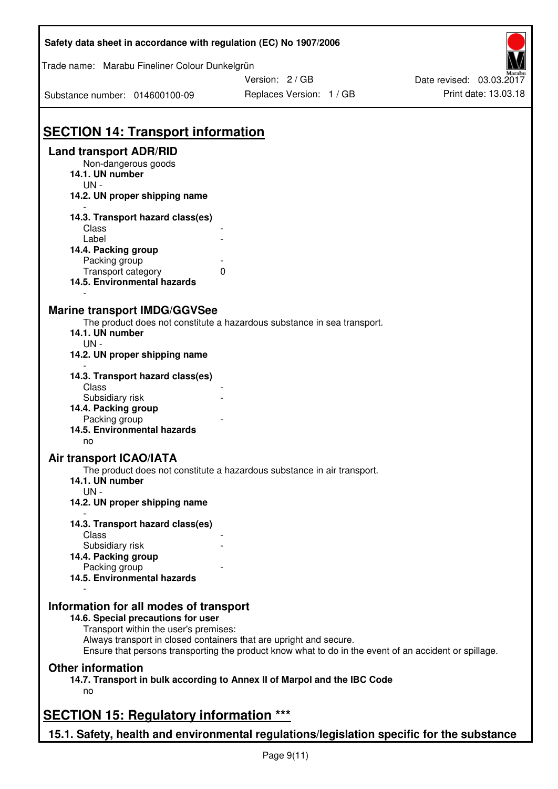| Safety data sheet in accordance with regulation (EC) No 1907/2006                                                                                                                           |                                                                                                       |                                                  |
|---------------------------------------------------------------------------------------------------------------------------------------------------------------------------------------------|-------------------------------------------------------------------------------------------------------|--------------------------------------------------|
| Trade name: Marabu Fineliner Colour Dunkelgrün                                                                                                                                              |                                                                                                       |                                                  |
| Substance number: 014600100-09                                                                                                                                                              | Version: 2/GB<br>Replaces Version: 1 / GB                                                             | Date revised: 03.03.2017<br>Print date: 13.03.18 |
| <b>SECTION 14: Transport information</b>                                                                                                                                                    |                                                                                                       |                                                  |
| <b>Land transport ADR/RID</b><br>Non-dangerous goods<br>14.1. UN number<br>$UN -$<br>14.2. UN proper shipping name                                                                          |                                                                                                       |                                                  |
| 14.3. Transport hazard class(es)<br>Class<br>Label<br>14.4. Packing group<br>Packing group<br>Transport category<br>14.5. Environmental hazards                                             | $\mathbf{0}$                                                                                          |                                                  |
| <b>Marine transport IMDG/GGVSee</b><br>14.1. UN number<br>$UN -$<br>14.2. UN proper shipping name                                                                                           | The product does not constitute a hazardous substance in sea transport.                               |                                                  |
| 14.3. Transport hazard class(es)<br>Class<br>Subsidiary risk<br>14.4. Packing group<br>Packing group<br>14.5. Environmental hazards                                                         |                                                                                                       |                                                  |
| no<br><b>Air transport ICAO/IATA</b><br>14.1. UN number<br>$UN -$                                                                                                                           | The product does not constitute a hazardous substance in air transport.                               |                                                  |
| 14.2. UN proper shipping name<br>14.3. Transport hazard class(es)<br>Class<br>Subsidiary risk<br>14.4. Packing group<br>Packing group<br>14.5. Environmental hazards                        |                                                                                                       |                                                  |
| Information for all modes of transport<br>14.6. Special precautions for user<br>Transport within the user's premises:<br>Always transport in closed containers that are upright and secure. | Ensure that persons transporting the product know what to do in the event of an accident or spillage. |                                                  |
| <b>Other information</b><br>no                                                                                                                                                              | 14.7. Transport in bulk according to Annex II of Marpol and the IBC Code                              |                                                  |
| <b>SECTION 15: Regulatory information ***</b>                                                                                                                                               |                                                                                                       |                                                  |
|                                                                                                                                                                                             | 15.1. Safety, health and environmental regulations/legislation specific for the substance             |                                                  |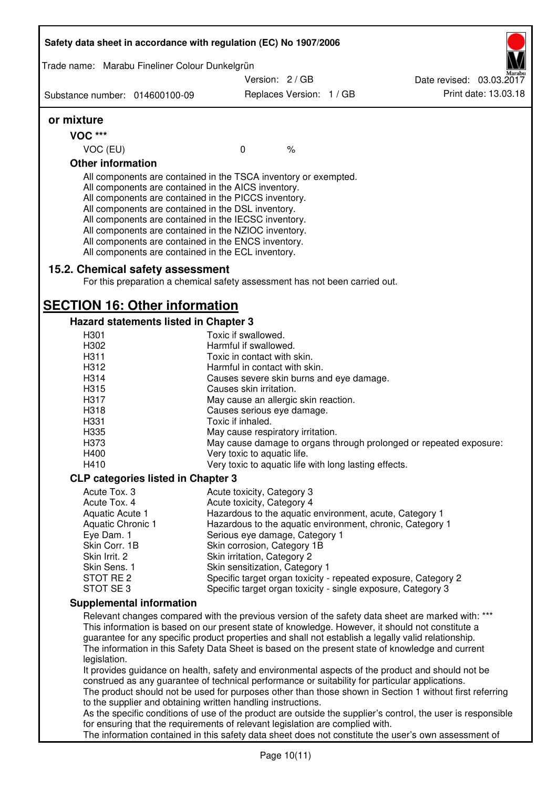| Trade name: Marabu Fineliner Colour Dunkelgrün<br>Substance number: 014600100-09<br>or mixture<br><b>VOC ***</b><br>VOC (EU)<br><b>Other information</b><br>All components are contained in the TSCA inventory or exempted.<br>All components are contained in the AICS inventory.<br>All components are contained in the PICCS inventory.<br>All components are contained in the DSL inventory. | Version: 2 / GB<br>Replaces Version: 1 / GB<br>$\mathbf 0$          |               | Date revised: 03.03.2017<br>Print date: 13.03.18                                                             |
|--------------------------------------------------------------------------------------------------------------------------------------------------------------------------------------------------------------------------------------------------------------------------------------------------------------------------------------------------------------------------------------------------|---------------------------------------------------------------------|---------------|--------------------------------------------------------------------------------------------------------------|
|                                                                                                                                                                                                                                                                                                                                                                                                  |                                                                     |               |                                                                                                              |
|                                                                                                                                                                                                                                                                                                                                                                                                  |                                                                     |               |                                                                                                              |
|                                                                                                                                                                                                                                                                                                                                                                                                  |                                                                     |               |                                                                                                              |
|                                                                                                                                                                                                                                                                                                                                                                                                  |                                                                     |               |                                                                                                              |
|                                                                                                                                                                                                                                                                                                                                                                                                  |                                                                     |               |                                                                                                              |
|                                                                                                                                                                                                                                                                                                                                                                                                  |                                                                     | $\frac{1}{6}$ |                                                                                                              |
|                                                                                                                                                                                                                                                                                                                                                                                                  |                                                                     |               |                                                                                                              |
| All components are contained in the IECSC inventory.<br>All components are contained in the NZIOC inventory.<br>All components are contained in the ENCS inventory.<br>All components are contained in the ECL inventory.                                                                                                                                                                        |                                                                     |               |                                                                                                              |
| 15.2. Chemical safety assessment<br>For this preparation a chemical safety assessment has not been carried out.                                                                                                                                                                                                                                                                                  |                                                                     |               |                                                                                                              |
| <b>SECTION 16: Other information</b>                                                                                                                                                                                                                                                                                                                                                             |                                                                     |               |                                                                                                              |
| <b>Hazard statements listed in Chapter 3</b>                                                                                                                                                                                                                                                                                                                                                     |                                                                     |               |                                                                                                              |
| H301                                                                                                                                                                                                                                                                                                                                                                                             | Toxic if swallowed.                                                 |               |                                                                                                              |
| H302                                                                                                                                                                                                                                                                                                                                                                                             | Harmful if swallowed.                                               |               |                                                                                                              |
| H311<br>H312                                                                                                                                                                                                                                                                                                                                                                                     | Toxic in contact with skin.<br>Harmful in contact with skin.        |               |                                                                                                              |
| H314                                                                                                                                                                                                                                                                                                                                                                                             |                                                                     |               |                                                                                                              |
| H315                                                                                                                                                                                                                                                                                                                                                                                             | Causes severe skin burns and eye damage.<br>Causes skin irritation. |               |                                                                                                              |
|                                                                                                                                                                                                                                                                                                                                                                                                  |                                                                     |               |                                                                                                              |
| H317<br>H318                                                                                                                                                                                                                                                                                                                                                                                     | May cause an allergic skin reaction.                                |               |                                                                                                              |
| H331                                                                                                                                                                                                                                                                                                                                                                                             | Causes serious eye damage.<br>Toxic if inhaled.                     |               |                                                                                                              |
| H335                                                                                                                                                                                                                                                                                                                                                                                             | May cause respiratory irritation.                                   |               |                                                                                                              |
| H373                                                                                                                                                                                                                                                                                                                                                                                             |                                                                     |               | May cause damage to organs through prolonged or repeated exposure:                                           |
| H400                                                                                                                                                                                                                                                                                                                                                                                             | Very toxic to aquatic life.                                         |               |                                                                                                              |
| H410                                                                                                                                                                                                                                                                                                                                                                                             | Very toxic to aquatic life with long lasting effects.               |               |                                                                                                              |
| <b>CLP categories listed in Chapter 3</b>                                                                                                                                                                                                                                                                                                                                                        |                                                                     |               |                                                                                                              |
| Acute Tox. 3                                                                                                                                                                                                                                                                                                                                                                                     | Acute toxicity, Category 3                                          |               |                                                                                                              |
| Acute Tox. 4                                                                                                                                                                                                                                                                                                                                                                                     | Acute toxicity, Category 4                                          |               |                                                                                                              |
| Aquatic Acute 1                                                                                                                                                                                                                                                                                                                                                                                  | Hazardous to the aquatic environment, acute, Category 1             |               |                                                                                                              |
| Aquatic Chronic 1                                                                                                                                                                                                                                                                                                                                                                                |                                                                     |               | Hazardous to the aquatic environment, chronic, Category 1                                                    |
| Eye Dam. 1                                                                                                                                                                                                                                                                                                                                                                                       | Serious eye damage, Category 1                                      |               |                                                                                                              |
| Skin Corr. 1B                                                                                                                                                                                                                                                                                                                                                                                    | Skin corrosion, Category 1B                                         |               |                                                                                                              |
| Skin Irrit. 2                                                                                                                                                                                                                                                                                                                                                                                    | Skin irritation, Category 2                                         |               |                                                                                                              |
| Skin Sens. 1                                                                                                                                                                                                                                                                                                                                                                                     | Skin sensitization, Category 1                                      |               |                                                                                                              |
| STOT RE 2                                                                                                                                                                                                                                                                                                                                                                                        |                                                                     |               | Specific target organ toxicity - repeated exposure, Category 2                                               |
| STOT SE3                                                                                                                                                                                                                                                                                                                                                                                         |                                                                     |               | Specific target organ toxicity - single exposure, Category 3                                                 |
| <b>Supplemental information</b>                                                                                                                                                                                                                                                                                                                                                                  |                                                                     |               |                                                                                                              |
|                                                                                                                                                                                                                                                                                                                                                                                                  |                                                                     |               | Relevant changes compared with the previous version of the safety data sheet are marked with: ***            |
| guarantee for any specific product properties and shall not establish a legally valid relationship.                                                                                                                                                                                                                                                                                              |                                                                     |               | This information is based on our present state of knowledge. However, it should not constitute a             |
| legislation.                                                                                                                                                                                                                                                                                                                                                                                     |                                                                     |               | The information in this Safety Data Sheet is based on the present state of knowledge and current             |
|                                                                                                                                                                                                                                                                                                                                                                                                  |                                                                     |               | It provides guidance on health, safety and environmental aspects of the product and should not be            |
| construed as any guarantee of technical performance or suitability for particular applications.                                                                                                                                                                                                                                                                                                  |                                                                     |               |                                                                                                              |
|                                                                                                                                                                                                                                                                                                                                                                                                  |                                                                     |               | The product should not be used for purposes other than those shown in Section 1 without first referring      |
| to the supplier and obtaining written handling instructions.                                                                                                                                                                                                                                                                                                                                     |                                                                     |               |                                                                                                              |
|                                                                                                                                                                                                                                                                                                                                                                                                  |                                                                     |               | As the specific conditions of use of the product are outside the supplier's control, the user is responsible |
| for ensuring that the requirements of relevant legislation are complied with.                                                                                                                                                                                                                                                                                                                    |                                                                     |               | The information contained in this safety data sheet does not constitute the user's own assessment of         |